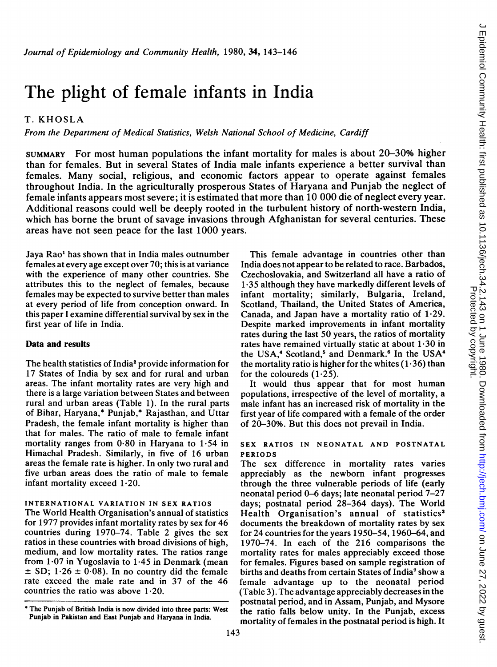# The plight of female infants in India

# T. KHOSLA

From the Department of Medical Statistics, Welsh National School of Medicine, Cardiff

SUMMARY For most human populations the infant mortality for males is about 20-30% higher than for females. But in several States of India male infants experience a better survival than females. Many social, religious, and economic factors appear to operate against females throughout India. In the agriculturally prosperous States of Haryana and Punjab the neglect of female infants appears most severe; it is estimated that more than 10 000 die of neglect every year. Additional reasons could well be deeply rooted in the turbulent history of north-western India, which has borne the brunt of savage invasions through Afghanistan for several centuries. These areas have not seen peace for the last 1000 years.

Jaya Rao' has shown that in India males outnumber females at every age except over 70; this is at variance with the experience of many other countries. She attributes this to the neglect of females, because females may be expected to survive better than males at every period of life from conception onward. In this paper <sup>I</sup> examine differential survival by sex in the first year of life in India.

### Data and results

The health statistics of India<sup>2</sup> provide information for 17 States of India by sex and for rural and urban areas. The infant mortality rates are very high and there is a large variation between States and between rural and urban areas (Table 1). In the rural parts of Bihar, Haryana,\* Punjab,\* Rajasthan, and Uttar Pradesh, the female infant mortality is higher than that for males. The ratio of male to female infant mortality ranges from  $0.80$  in Haryana to  $1.54$  in Himachal Pradesh. Similarly, in five of 16 urban areas the female rate is higher. In only two rural and five urban areas does the ratio of male to female infant mortality exceed  $1.20$ .

### INTERNATIONAL VARIATION IN SEX RATIOS

The World Health Organisation's annual of statistics for 1977 provides infant mortality rates by sex for 46 countries during 1970-74. Table 2 gives the sex ratios in these countries with broad divisions of high, medium, and low mortality rates. The ratios range from  $1.07$  in Yugoslavia to  $1.45$  in Denmark (mean  $\pm$  SD; 1.26  $\pm$  0.08). In no country did the female rate exceed the male rate and in 37 of the 46 countries the ratio was above  $1.20$ .

This female advantage in countries other than India does not appear to be related to race. Barbados, Czechoslovakia, and Switzerland all have a ratio of 1-35 although they have markedly different levels of infant mortality; similarly, Bulgaria, Ireland, Scotland, Thailand, the United States of America, Canada, and Japan have a mortality ratio of 1-29. Despite marked improvements in infant mortality rates during the last 50 years, the ratios of mortality rates have remained virtually static at about  $1.30$  in the USA,<sup>4</sup> Scotland,<sup>5</sup> and Denmark.<sup>6</sup> In the USA<sup>4</sup> the mortality ratio is higher for the whites  $(1.36)$  than for the coloureds  $(1.25)$ .

It would thus appear that for most human populations, irrespective of the level of mortality, a male infant has an increased risk of mortality in the first year of life compared with a female of the order of 20-30%. But this does not prevail in India.

### SEX RATIOS IN NEONATAL AND POSTNATAL PERIODS

The sex difference in mortality rates varies appreciably as the newborn infant progresses through the three vulnerable periods of life (early neonatal period 0-6 days; late neonatal period 7-27 days; postnatal period 28-364 days). The World Health Organisation's annual of statistics<sup>3</sup> documents the breakdown of mortality rates by sex for 24 countries for the years 1950-54, 1960-64, and 1970-74. In each of the 216 comparisons the mortality rates for males appreciably exceed those for females. Figures based on sample registration of births and deaths from certain States of India7 show a female advantage up to the neonatal period (Table 3). The advantage appreciably decreases in the postnatal period, and in Assam, Punjab, and Mysore the ratio falls below unity. In the Punjab, excess mortality of females in the postnatal period is high. It

<sup>\*</sup> The Punjab of British India is now divided into three parts: West Punjab in Pakistan and East Punjab and Haryana in India.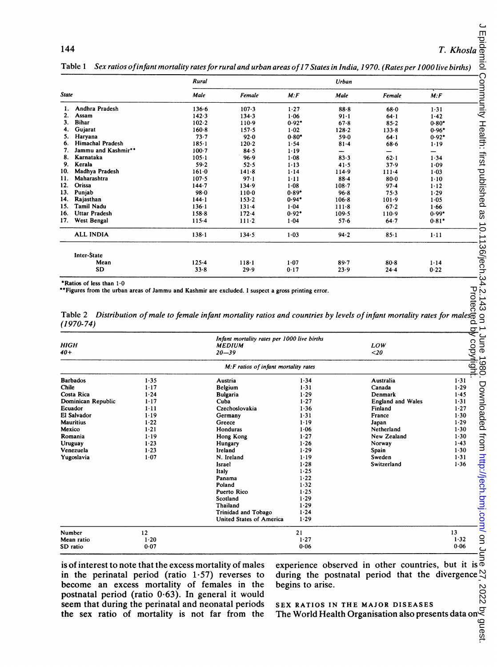144 **T.** Khosla

|              |                      | Rural     |           |          | Urban     |           |                          |  |
|--------------|----------------------|-----------|-----------|----------|-----------|-----------|--------------------------|--|
| <b>State</b> |                      | Male      | Female    | M.F      | Male      | Female    | M: F                     |  |
|              | Andhra Pradesh       | 136.6     | $107 - 3$ | 1.27     | $88-8$    | $68 - 0$  | 1.31                     |  |
| 2.           | Assam                | 142.3     | 134.3     | 1.06     | $91 - 1$  | $64 - 1$  | $1 - 42$                 |  |
| 3.           | <b>Bihar</b>         | $102 - 2$ | 110.9     | $0.92*$  | 678       | $85 - 2$  | $0.80*$                  |  |
| 4.           | Gujarat              | $160 - 8$ | 157.5     | $1 - 02$ | $128 - 2$ | 133.8     | $0.96*$                  |  |
| 5.           | Haryana              | 73.7      | 92.0      | $0.80*$  | 59.0      | $64 - 1$  | $0.92*$                  |  |
| 6.           | Himachal Pradesh     | $185 - 1$ | $120 - 2$ | 1.54     | $81 - 4$  | $68 - 6$  | $1 - 19$                 |  |
|              | Jammu and Kashmir**  | $100 - 7$ | 84.5      | 1.19     |           | -         | $\overline{\phantom{0}}$ |  |
| 8.           | Karnataka            | $105 - 1$ | 96.9      | $1 - 08$ | 83.3      | 62.1      | 1.34                     |  |
| 9.           | Kerala               | 59.2      | 52.5      | $1 - 13$ | 41.5      | 37.9      | $1 - 09$                 |  |
| 10.          | Madhya Pradesh       | $161 - 0$ | 141.8     | 1.14     | 114.9     | $111 - 4$ | $1 - 03$                 |  |
| 11.          | Maharashtra          | $107 - 5$ | $97 - 1$  | $1 - 11$ | $88 - 4$  | $80 - 0$  | $1 - 10$                 |  |
| 12.          | Orissa               | $144 - 7$ | 134.9     | 1.08     | $108 - 7$ | $97-4$    | $1 - 12$                 |  |
| 13.          | Punjab               | $98 - 0$  | $110-0$   | $0.89*$  | $96 - 8$  | 75.3      | 1.29                     |  |
| 14.          | Rajasthan            | $144 - 1$ | $153 - 2$ | $0.94*$  | $106 - 8$ | 101.9     | 1.05                     |  |
| 15.          | Tamil Nadu           | $136 - 1$ | $131 - 4$ | 1.04     | 111.8     | 67.2      | 1.66                     |  |
| 16.          | <b>Uttar Pradesh</b> | $158 - 8$ | 172.4     | $0.92*$  | 109.5     | 110.9     | $0.99*$                  |  |
| 17.          | West Bengal          | $115-4$   | $111 - 2$ | 1.04     | 57.6      | $64 - 7$  | $0.81*$                  |  |
|              | <b>ALL INDIA</b>     | $138 - 1$ | 134.5     | $1 - 03$ | 94.2      | $85-1$    | $1 - 11$                 |  |
|              | Inter-State          |           |           |          |           |           |                          |  |
|              | Mean                 | $125 - 4$ | $118 - 1$ | $1 - 07$ | 89.7      | $80 - 8$  | 1.14                     |  |
|              | <b>SD</b>            | $33 - 8$  | 29.9      | 0.17     | 23.9      | 24.4      | 0.22                     |  |
|              |                      |           |           |          |           |           |                          |  |

Table <sup>1</sup> Sex ratios ofinfant mortality rates for rural and urban areas of17 States in India, 1970. (Rates per 1000 live births)

'Ratios of less than 1-0

"Figures from the urban areas of Jammu and Kashmir are excluded. <sup>I</sup> suspect a gross printing error.

|             | Table 2 Distribution of male to female infant mortality ratios and countries by levels of infant mortality rates for males |  |  |  |
|-------------|----------------------------------------------------------------------------------------------------------------------------|--|--|--|
| $(1970-74)$ |                                                                                                                            |  |  |  |

| HIGH<br>40+        |          | Infant mortality rates per 1000 live births<br><i><b>MEDIUM</b></i><br>$20 - 39$ |          | LOW<br>$<$ 20            | : چ<br>copytight |
|--------------------|----------|----------------------------------------------------------------------------------|----------|--------------------------|------------------|
|                    |          | M: F ratios of infant mortality rates                                            |          |                          |                  |
| <b>Barbados</b>    | 1.35     | Austria                                                                          | 1.34     | Australia                | $1 - 31$         |
| Chile              | $1 - 17$ | Belgium                                                                          | $1 - 31$ | Canada                   | 1.29             |
| Costa Rica         | $1 - 24$ | Bulgaria                                                                         | 1.29     | Denmark                  | 1.45             |
| Dominican Republic | $1 - 17$ | Cuba                                                                             | 1.27     | <b>England and Wales</b> | $1 - 31$         |
| Ecuador            | $1 - 11$ | Czechoslovakia                                                                   | 1.36     | Finland                  | 1.27             |
| El Salvador        | $1 - 19$ | Germany                                                                          | 1.31     | France                   | 1.30             |
| <b>Mauritius</b>   | 1.22     | Greece                                                                           | 1.19     | Japan                    | $1 - 29$         |
| Mexico             | $1 - 21$ | Honduras                                                                         | 1.06     | Netherland               | 1.30             |
| Romania            | 1.19     | Hong Kong                                                                        | 1.27     | New Zealand              | 1.30             |
| Uruguay            | 1.23     | Hungary                                                                          | 1.26     | Norway                   | 1.43             |
| Venezuela          | $1 - 23$ | Ireland                                                                          | 1.29     | Spain                    | 1.30             |
| Yugoslavia         | $1 - 07$ | N. Ireland                                                                       | $1 - 19$ | Sweden                   | 1.31             |
|                    |          | Israel                                                                           | 1.28     | Switzerland              | 1.36             |
|                    |          | Italy                                                                            | 1.25     |                          |                  |
|                    |          | Panama                                                                           | 1.22     |                          |                  |
|                    |          | Poland                                                                           | 1.32     |                          |                  |
|                    |          | Puerto Rico                                                                      | 1.25     |                          |                  |
|                    |          | Scotland                                                                         | 1.29     |                          |                  |
|                    |          | Thailand                                                                         | 1.29     |                          |                  |
|                    |          | Trinidad and Tobago                                                              | 1.24     |                          |                  |
|                    |          | United States of America                                                         | 1.29     |                          |                  |
| Number             | 12       |                                                                                  | 21       |                          | 13               |
| Mean ratio         | $1 - 20$ |                                                                                  | $1 - 27$ |                          | 1.32             |
| SD ratio           | 0.07     |                                                                                  | 0.06     |                          | 0.06             |

is of interest to note that the excess mortality of males experience observed in other countries, but it is in the perinatal period (ratio 1.57) reverses to during the postnatal period that the divergence  $\frac{23}{100}$ <br>become an excess mortality of females in the begins to arise.<br>postnatal period (ratio 0.63). In general it woul become an excess mortality of females in the begins to arise. postnatal period (ratio 0.63). In general it would seem that during the perinatal and neonatal periods the sex ratio of mortality is not far from the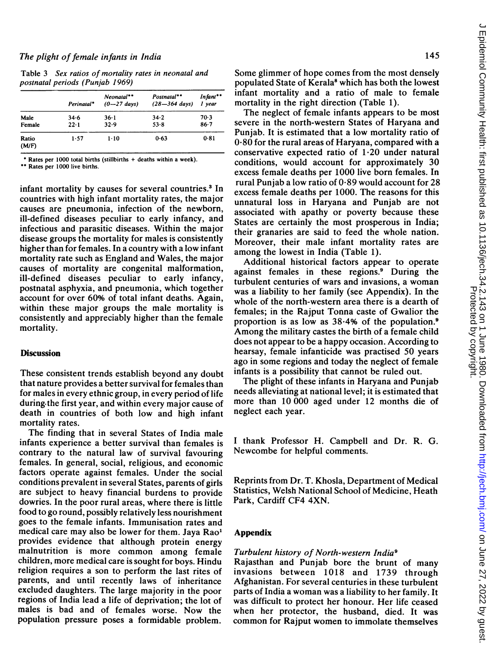Table 3 Sex ratios of mortality rates in neonatal and postnatal periods (Punjab 1969)

|                | Perinatal* | Neonatal**<br>$(0 - 27 \text{ days})$ | Postnatal**<br>$(28 - 364 \text{ days})$ | Infant**<br>l year |
|----------------|------------|---------------------------------------|------------------------------------------|--------------------|
| Male           | $34 - 6$   | $36-1$                                | 34.2                                     | $70-3$             |
| Female         | $22 - 1$   | 32.9                                  | $53 - 8$                                 | $86 - 7$           |
| Ratio<br>(M/F) | 1.57       | $1 - 10$                              | 0.63                                     | 0.81               |

Rates per 1000 total births (stillbirths + deaths within a week).

\*\* Rates per 1000 live births.

infant mortality by causes for several countries.<sup>3</sup> In countries with high infant mortality rates, the major causes are pneumonia, infection of the newborn, ill-defined diseases peculiar to early infancy, and infectious and parasitic diseases. Within the major disease groups the mortality for males is consistently higher than for females. In a country with a low infant mortality rate such as England and Wales, the major causes of mortality are congenital malformation, ill-defined diseases peculiar to early infancy, postnatal asphyxia, and pneumonia, which together account for over 60% of total infant deaths. Again, within these major groups the male mortality is consistently and appreciably higher than the female mortality.

# **Discussion**

These consistent trends establish beyond any doubt that nature provides a better survival for females than for males in every ethnic group, in every period of life during-the first year, and within every major cause of death in countries of both low and high infant mortality rates.

The finding that in several States of India male infants experience a better survival than females is contrary to the natural law of survival favouring females. In general, social, religious, and economic factors operate against females. Under the social conditions prevalent in several States, parents of girls are subject to heavy financial burdens to provide dowries. In the poor rural areas, where there is little food to go round, possibly relatively less nourishment goes to the female infants. Immunisation rates and medical care may also be lower for them. Jaya Rao' provides evidence that although protein energy malnutrition is more common among female children, more medical care is sought for boys. Hindu religion requires a son to perform the last rites of parents, and until recently laws of inheritance excluded daughters. The large majority in the poor regions of India lead a life of deprivation; the lot of males is bad and of females worse. Now the population pressure poses a formidable problem.

 $\epsilon$ 

Some glimmer of hope comes from the most densely populated State of Kerala<sup>8</sup> which has both the lowest infant mortality and a ratio of male to female mortality in the right direction (Table 1).

The neglect of female infants appears to be most severe in the north-western States of Haryana and Punjab. It is estimated that a low mortality ratio of 0-80 for the rural areas of Haryana, compared with a conservative expected ratio of 1-20 under natural conditions, would account for approximately 30 excess female deaths per 1000 live born females. In rural Punjab a low ratio of 0-89 would account for 28 excess female deaths per 1000. The reasons for this unnatural loss in Haryana and Punjab are not associated with apathy or poverty because these States are certainly the most prosperous in India; their granaries are said to feed the whole nation. Moreover, their male infant mortality rates are among the lowest in India (Table 1).

Additional historical factors appear to operate against females in these regions.9 During the turbulent centuries of wars and invasions, <sup>a</sup> woman was a liability to her family (see Appendix). In the whole of the north-western area there is a dearth of females; in the Rajput Tonna caste of Gwalior the proportion is as low as  $38.4%$  of the population.<sup>9</sup> Among the military castes the birth of <sup>a</sup> female child does not appear to be a happy occasion. According to hearsay, female infanticide was practised 50 years ago in some regions and today the neglect of female infants is a possibility that cannot be ruled out.

The plight of these infants in Haryana and Punjab needs alleviating at national level; it is estimated that more than 10 000 aged under 12 months die of neglect each year.

<sup>I</sup> thank Professor H. Campbell and Dr. R. G. Newcombe for helpful comments.

Reprints from Dr. T. Khosla, Department of Medical Statistics, Welsh National School of Medicine, Heath Park, Cardiff CF4 4XN.

# Appendix

# Turbulent history of North-western India9

Rajasthan and Punjab bore the brunt of many invasions between 1018 and 1739 through Afghanistan. For several centuries in these turbulent parts of India a woman was <sup>a</sup> liability to her family. It was difficult to protect her honour. Her life ceased when her protector, the husband, died. It was common for Rajput women to immolate themselves